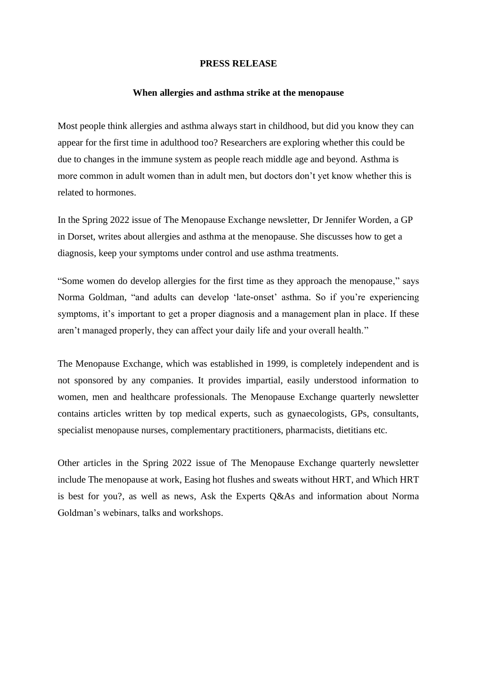## **PRESS RELEASE**

## **When allergies and asthma strike at the menopause**

Most people think allergies and asthma always start in childhood, but did you know they can appear for the first time in adulthood too? Researchers are exploring whether this could be due to changes in the immune system as people reach middle age and beyond. Asthma is more common in adult women than in adult men, but doctors don't yet know whether this is related to hormones.

In the Spring 2022 issue of The Menopause Exchange newsletter, Dr Jennifer Worden, a GP in Dorset, writes about allergies and asthma at the menopause. She discusses how to get a diagnosis, keep your symptoms under control and use asthma treatments.

"Some women do develop allergies for the first time as they approach the menopause," says Norma Goldman, "and adults can develop 'late-onset' asthma. So if you're experiencing symptoms, it's important to get a proper diagnosis and a management plan in place. If these aren't managed properly, they can affect your daily life and your overall health."

The Menopause Exchange, which was established in 1999, is completely independent and is not sponsored by any companies. It provides impartial, easily understood information to women, men and healthcare professionals. The Menopause Exchange quarterly newsletter contains articles written by top medical experts, such as gynaecologists, GPs, consultants, specialist menopause nurses, complementary practitioners, pharmacists, dietitians etc.

Other articles in the Spring 2022 issue of The Menopause Exchange quarterly newsletter include The menopause at work, Easing hot flushes and sweats without HRT, and Which HRT is best for you?, as well as news, Ask the Experts Q&As and information about Norma Goldman's webinars, talks and workshops.